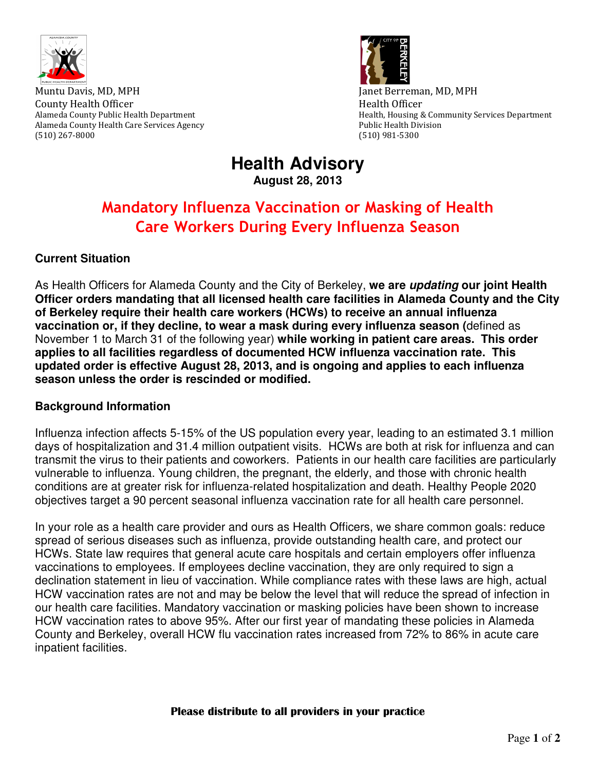

Muntu Davis, MD, MPH Janet Berreman, MD, MPH County Health Officer **Health Officer Health Officer Health** Officer Alameda County Health Care Services Agency **Public Health Division** Public Health Division (510) 267-8000 (510) 981-5300



Alameda County Public Health Department **Health Alameda County Public Health**, Housing & Community Services Department

# **Health Advisory August 28, 2013**

# Mandatory Influenza Vaccination or Masking of Health Care Workers During Every Influenza Season

## **Current Situation**

As Health Officers for Alameda County and the City of Berkeley, **we are updating our joint Health Officer orders mandating that all licensed health care facilities in Alameda County and the City of Berkeley require their health care workers (HCWs) to receive an annual influenza vaccination or, if they decline, to wear a mask during every influenza season (**defined as November 1 to March 31 of the following year) **while working in patient care areas. This order applies to all facilities regardless of documented HCW influenza vaccination rate. This updated order is effective August 28, 2013, and is ongoing and applies to each influenza season unless the order is rescinded or modified.** 

### **Background Information**

Influenza infection affects 5-15% of the US population every year, leading to an estimated 3.1 million days of hospitalization and 31.4 million outpatient visits. HCWs are both at risk for influenza and can transmit the virus to their patients and coworkers. Patients in our health care facilities are particularly vulnerable to influenza. Young children, the pregnant, the elderly, and those with chronic health conditions are at greater risk for influenza-related hospitalization and death. Healthy People 2020 objectives target a 90 percent seasonal influenza vaccination rate for all health care personnel.

In your role as a health care provider and ours as Health Officers, we share common goals: reduce spread of serious diseases such as influenza, provide outstanding health care, and protect our HCWs. State law requires that general acute care hospitals and certain employers offer influenza vaccinations to employees. If employees decline vaccination, they are only required to sign a declination statement in lieu of vaccination. While compliance rates with these laws are high, actual HCW vaccination rates are not and may be below the level that will reduce the spread of infection in our health care facilities. Mandatory vaccination or masking policies have been shown to increase HCW vaccination rates to above 95%. After our first year of mandating these policies in Alameda County and Berkeley, overall HCW flu vaccination rates increased from 72% to 86% in acute care inpatient facilities.